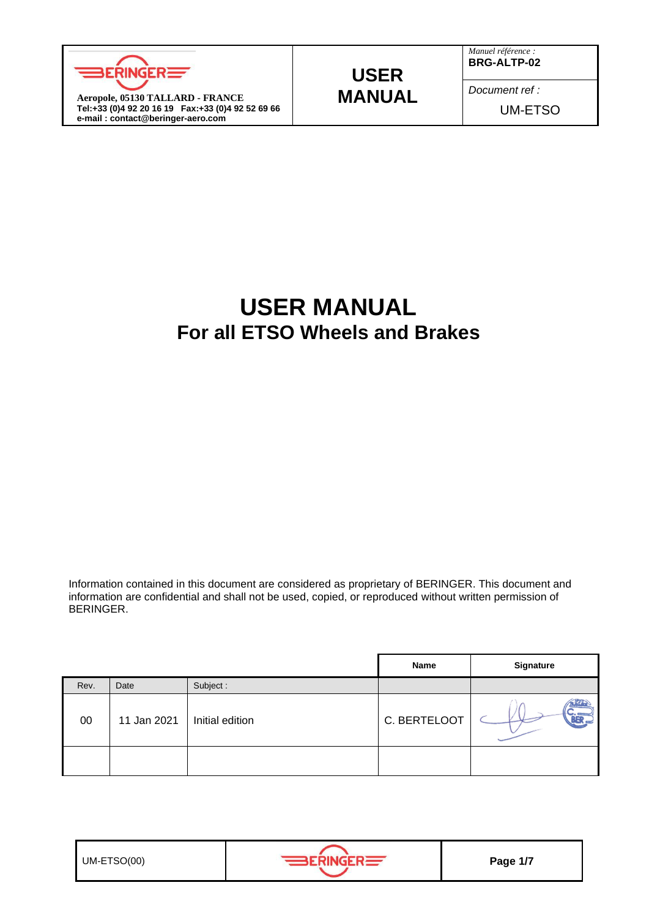

## **USER MANUAL**

*Manuel référence :* **BRG-ALTP-02**

*Document ref :* UM-ETSO

# **USER MANUAL For all ETSO Wheels and Brakes**

Information contained in this document are considered as proprietary of BERINGER. This document and information are confidential and shall not be used, copied, or reproduced without written permission of BERINGER.

|      |             |                 | Name         | <b>Signature</b> |
|------|-------------|-----------------|--------------|------------------|
| Rev. | Date        | Subject:        |              |                  |
| 00   | 11 Jan 2021 | Initial edition | C. BERTELOOT |                  |
|      |             |                 |              |                  |

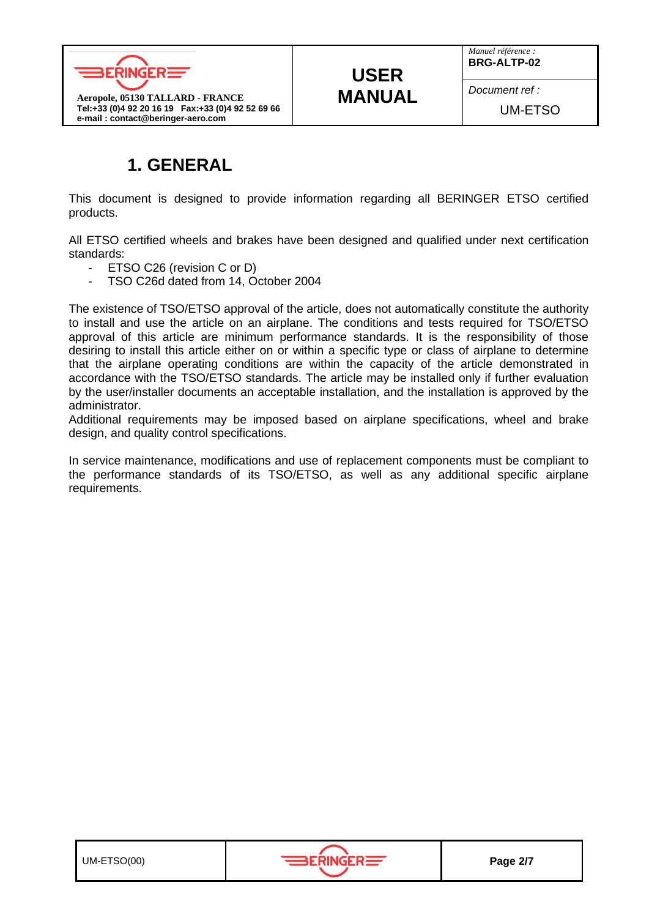

# **USER MANUAL**

*Manuel référence :* **BRG-ALTP-02**

*Document ref :*

UM-ETSO

## **1. GENERAL**

This document is designed to provide information regarding all BERINGER ETSO certified products.

All ETSO certified wheels and brakes have been designed and qualified under next certification standards:

- ETSO C26 (revision C or D)
- TSO C26d dated from 14, October 2004

The existence of TSO/ETSO approval of the article, does not automatically constitute the authority to install and use the article on an airplane. The conditions and tests required for TSO/ETSO approval of this article are minimum performance standards. It is the responsibility of those desiring to install this article either on or within a specific type or class of airplane to determine that the airplane operating conditions are within the capacity of the article demonstrated in accordance with the TSO/ETSO standards. The article may be installed only if further evaluation by the user/installer documents an acceptable installation, and the installation is approved by the administrator.

Additional requirements may be imposed based on airplane specifications, wheel and brake design, and quality control specifications.

In service maintenance, modifications and use of replacement components must be compliant to the performance standards of its TSO/ETSO, as well as any additional specific airplane requirements.

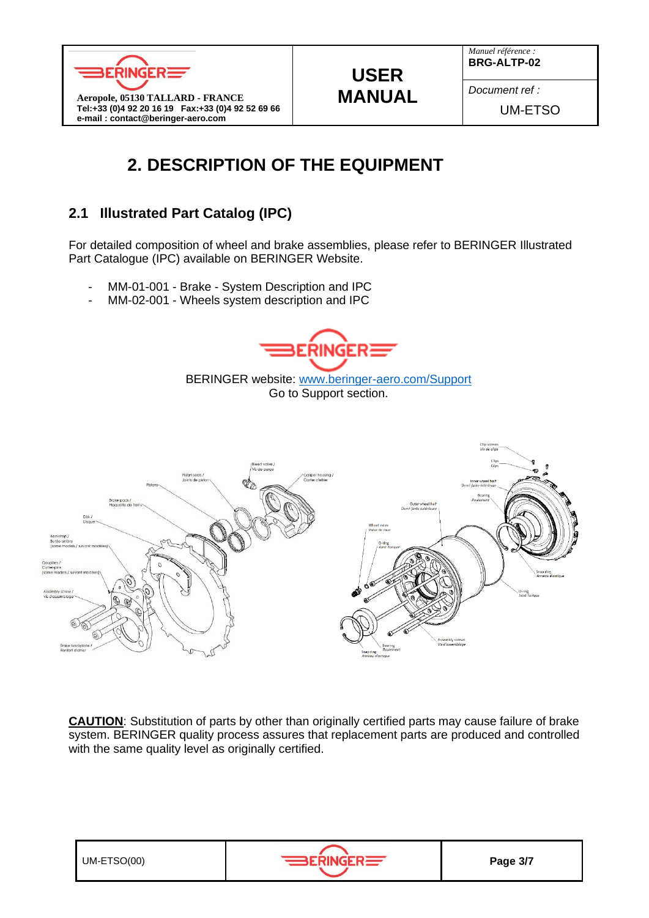



*Document ref :*

UM-ETSO

# **2. DESCRIPTION OF THE EQUIPMENT**

### **2.1 Illustrated Part Catalog (IPC)**

For detailed composition of wheel and brake assemblies, please refer to BERINGER Illustrated Part Catalogue (IPC) available on BERINGER Website.

**USER MANUAL**

- MM-01-001 Brake System Description and IPC
- MM-02-001 Wheels system description and IPC



BERINGER website: [www.beringer-aero.com/Support](http://www.beringer-aero.com/Support) Go to Support section.



**CAUTION**: Substitution of parts by other than originally certified parts may cause failure of brake system. BERINGER quality process assures that replacement parts are produced and controlled with the same quality level as originally certified.



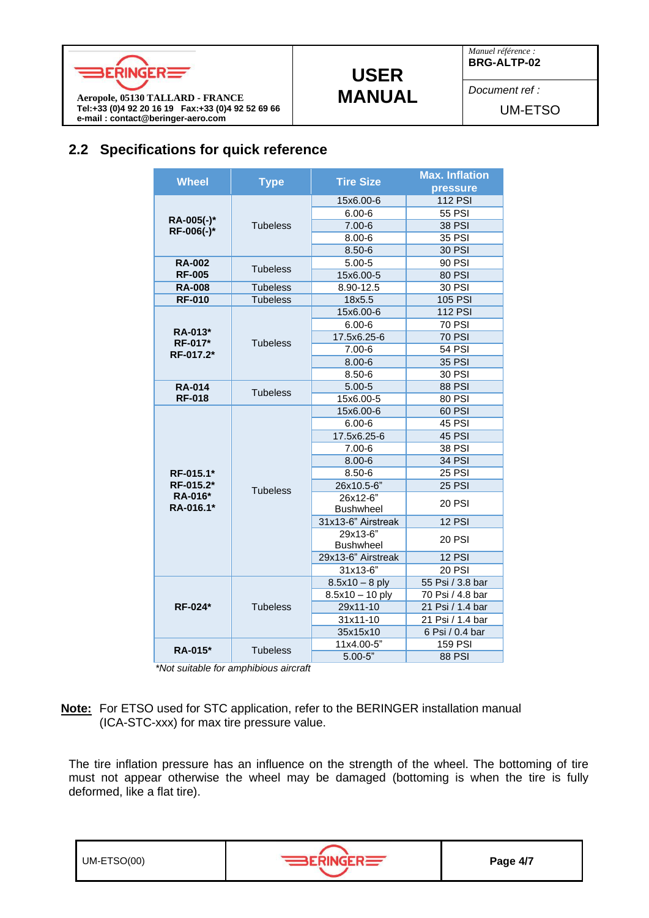

## **USER MANUAL**

*Manuel référence :* **BRG-ALTP-02**

*Document ref :*

UM-ETSO

### **2.2 Specifications for quick reference**

| <b>Wheel</b>             | <b>Type</b>     | <b>Tire Size</b>             | <b>Max. Inflation</b> |
|--------------------------|-----------------|------------------------------|-----------------------|
|                          |                 |                              | pressure              |
|                          | <b>Tubeless</b> | 15x6.00-6                    | <b>112 PSI</b>        |
|                          |                 | $6.00 - 6$                   | 55 PSI                |
| RA-005(-)*<br>RF-006(-)* |                 | $7.00 - 6$                   | <b>38 PSI</b>         |
|                          |                 | $8.00 - 6$                   | <b>35 PSI</b>         |
|                          |                 | $8.50 - 6$                   | <b>30 PSI</b>         |
| <b>RA-002</b>            | <b>Tubeless</b> | $5.00 - 5$                   | 90 PSI                |
| <b>RF-005</b>            |                 | 15x6.00-5                    | <b>80 PSI</b>         |
| <b>RA-008</b>            | <b>Tubeless</b> | 8.90-12.5                    | 30 PSI                |
| <b>RF-010</b>            | <b>Tubeless</b> | 18x5.5                       | <b>105 PSI</b>        |
|                          |                 | 15x6.00-6                    | <b>112 PSI</b>        |
| RA-013*                  |                 | $6.00 - 6$                   | <b>70 PSI</b>         |
| <b>RF-017*</b>           | <b>Tubeless</b> | 17.5x6.25-6                  | <b>70 PSI</b>         |
| RF-017.2*                |                 | $7.00 - 6$                   | <b>54 PSI</b>         |
|                          |                 | $8.00 - 6$                   | <b>35 PSI</b>         |
|                          |                 | $8.50 - 6$                   | 30 PSI                |
| <b>RA-014</b>            | <b>Tubeless</b> | $5.00 - 5$                   | <b>88 PSI</b>         |
| <b>RF-018</b>            |                 | 15x6.00-5                    | 80 PSI                |
|                          |                 | 15x6.00-6                    | 60 PSI                |
|                          |                 | $6.00 - 6$                   | 45 PSI                |
|                          | <b>Tubeless</b> | 17.5x6.25-6                  | 45 PSI                |
|                          |                 | $7.00 - 6$                   | <b>38 PSI</b>         |
|                          |                 | $8.00 - 6$                   | <b>34 PSI</b>         |
| RF-015.1*                |                 | $8.50 - 6$                   | <b>25 PSI</b>         |
| RF-015.2*                |                 | 26x10.5-6"                   | <b>25 PSI</b>         |
| RA-016*                  |                 | 26x12-6"                     | <b>20 PSI</b>         |
| RA-016.1*                |                 | <b>Bushwheel</b>             |                       |
|                          |                 | 31x13-6" Airstreak           | <b>12 PSI</b>         |
|                          |                 | 29x13-6"<br><b>Bushwheel</b> | <b>20 PSI</b>         |
|                          |                 | 29x13-6" Airstreak           | 12 PSI                |
|                          |                 | 31x13-6"                     | <b>20 PSI</b>         |
|                          | <b>Tubeless</b> | $8.5x10 - 8$ ply             | 55 Psi / 3.8 bar      |
|                          |                 | $8.5x10 - 10$ ply            | 70 Psi / 4.8 bar      |
| <b>RF-024*</b>           |                 | 29x11-10                     | 21 Psi / 1.4 bar      |
|                          |                 | 31x11-10                     | 21 Psi / 1.4 bar      |
|                          |                 | 35x15x10                     | 6 Psi / 0.4 bar       |
|                          | <b>Tubeless</b> | 11x4.00-5"                   | <b>159 PSI</b>        |
| RA-015*                  |                 | $5.00 - 5"$                  | <b>88 PSI</b>         |

 *\*Not suitable for amphibious aircraft*

**Note:** For ETSO used for STC application, refer to the BERINGER installation manual (ICA-STC-xxx) for max tire pressure value.

The tire inflation pressure has an influence on the strength of the wheel. The bottoming of tire must not appear otherwise the wheel may be damaged (bottoming is when the tire is fully deformed, like a flat tire).

UM-ETSO(00) **Page 4/7**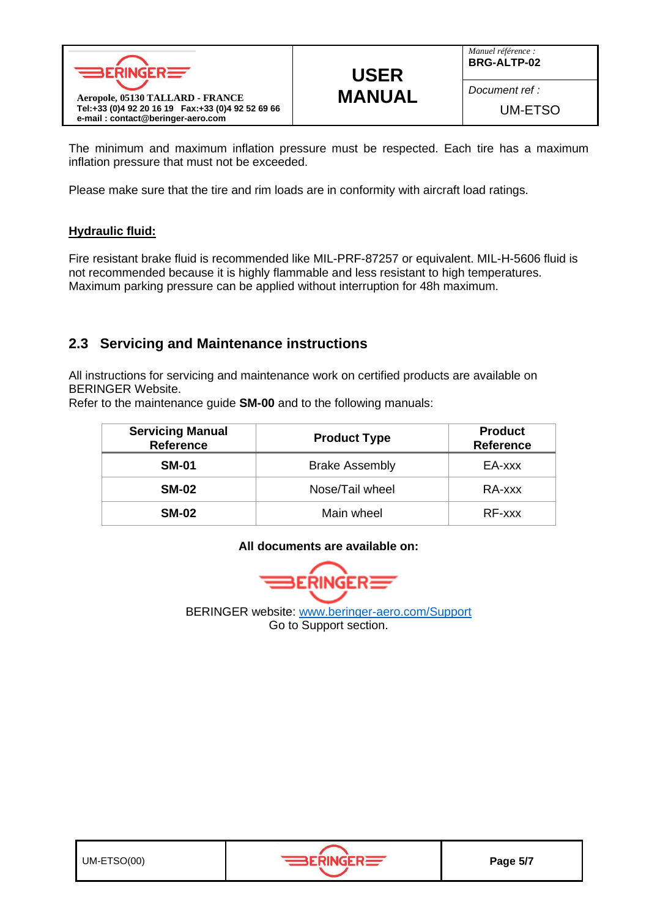

# **USER MANUAL**

*Manuel référence :* **BRG-ALTP-02**

*Document ref :*

UM-ETSO

The minimum and maximum inflation pressure must be respected. Each tire has a maximum inflation pressure that must not be exceeded.

Please make sure that the tire and rim loads are in conformity with aircraft load ratings.

#### **Hydraulic fluid:**

Fire resistant brake fluid is recommended like MIL-PRF-87257 or equivalent. MIL-H-5606 fluid is not recommended because it is highly flammable and less resistant to high temperatures. Maximum parking pressure can be applied without interruption for 48h maximum.

#### **2.3 Servicing and Maintenance instructions**

All instructions for servicing and maintenance work on certified products are available on BERINGER Website.

Refer to the maintenance guide **SM-00** and to the following manuals:

| <b>Servicing Manual</b><br><b>Reference</b> | <b>Product Type</b>   | <b>Product</b><br><b>Reference</b> |
|---------------------------------------------|-----------------------|------------------------------------|
| <b>SM-01</b>                                | <b>Brake Assembly</b> | EA-xxx                             |
| <b>SM-02</b>                                | Nose/Tail wheel       | RA-xxx                             |
| <b>SM-02</b>                                | Main wheel            | RF-xxx                             |

#### **All documents are available on:**

 $RINGER \equiv$ Б

BERINGER website: [www.beringer-aero.com/Support](http://www.beringer-aero.com/Support) Go to Support section.

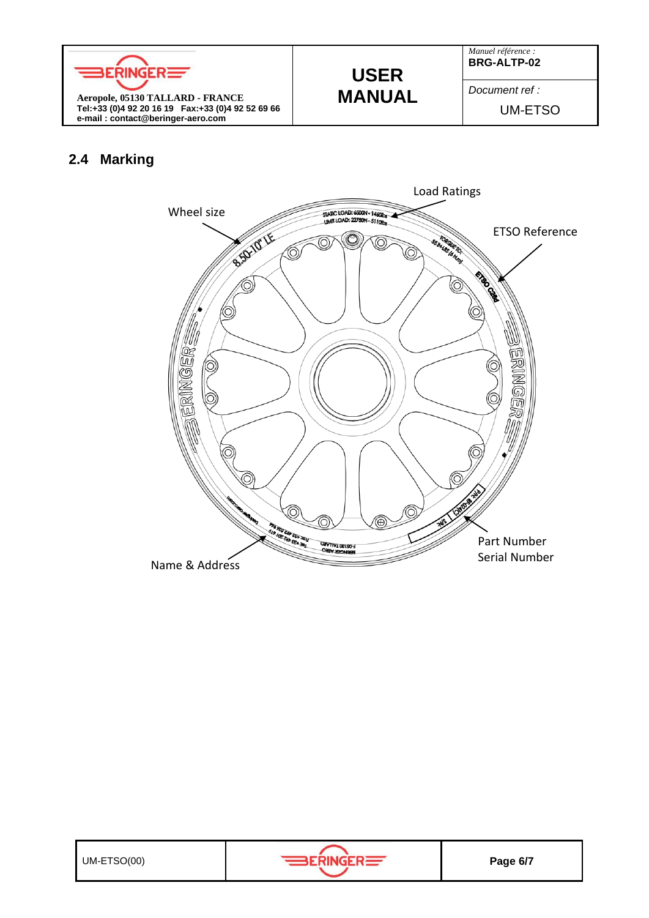

# **USER MANUAL**

*Manuel référence :* **BRG-ALTP-02**

*Document ref :*

UM-ETSO

#### **2.4 Marking**